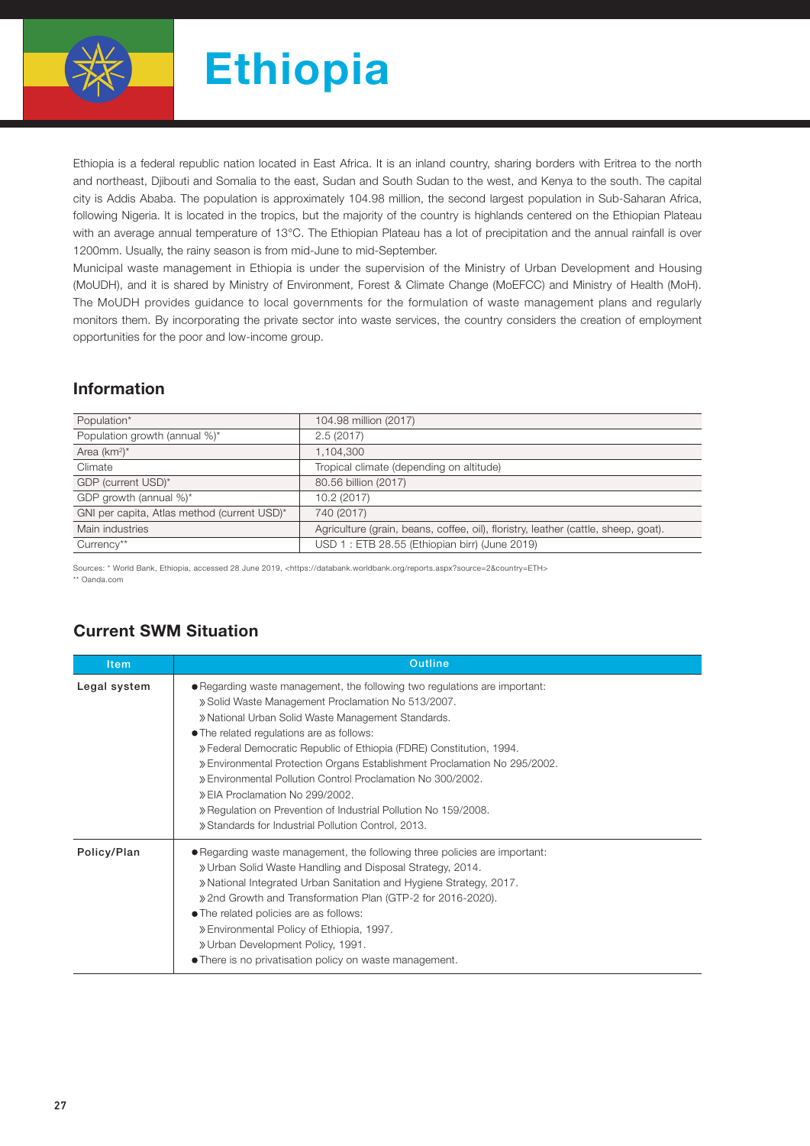

Ethiopia is a federal republic nation located in East Africa. It is an inland country, sharing borders with Eritrea to the north and northeast, Djibouti and Somalia to the east, Sudan and South Sudan to the west, and Kenya to the south. The capital city is Addis Ababa. The population is approximately 104.98 million, the second largest population in Sub-Saharan Africa, following Nigeria. It is located in the tropics, but the majority of the country is highlands centered on the Ethiopian Plateau with an average annual temperature of 13°C. The Ethiopian Plateau has a lot of precipitation and the annual rainfall is over 1200mm. Usually, the rainy season is from mid-June to mid-September.

Municipal waste management in Ethiopia is under the supervision of the Ministry of Urban Development and Housing (MoUDH), and it is shared by Ministry of Environment, Forest & Climate Change (MoEFCC) and Ministry of Health (MoH). The MoUDH provides guidance to local governments for the formulation of waste management plans and regularly monitors them. By incorporating the private sector into waste services, the country considers the creation of employment opportunities for the poor and low-income group.

## Information

| Population*                                 | 104.98 million (2017)                                                              |  |  |
|---------------------------------------------|------------------------------------------------------------------------------------|--|--|
| Population growth (annual %)*               | 2.5(2017)                                                                          |  |  |
| Area $(km^2)^*$                             | 1,104,300                                                                          |  |  |
| Climate                                     | Tropical climate (depending on altitude)                                           |  |  |
| GDP (current USD)*                          | 80.56 billion (2017)                                                               |  |  |
| GDP growth (annual %)*                      | 10.2(2017)                                                                         |  |  |
| GNI per capita, Atlas method (current USD)* | 740 (2017)                                                                         |  |  |
| Main industries                             | Agriculture (grain, beans, coffee, oil), floristry, leather (cattle, sheep, goat). |  |  |
| Currency**                                  | USD 1: ETB 28.55 (Ethiopian birr) (June 2019)                                      |  |  |

Sources: \* World Bank, Ethiopia, accessed 28 June 2019, <https://databank.worldbank.org/reports.aspx?source=2&country=ETH>

\*\* Oanda.com

| <b>Item</b>  | <b>Outline</b>                                                                                                                                                                                                                                                                                                                                                                                                                                                                                                                                                                                                       |
|--------------|----------------------------------------------------------------------------------------------------------------------------------------------------------------------------------------------------------------------------------------------------------------------------------------------------------------------------------------------------------------------------------------------------------------------------------------------------------------------------------------------------------------------------------------------------------------------------------------------------------------------|
| Legal system | • Regarding waste management, the following two regulations are important:<br>» Solid Waste Management Proclamation No 513/2007.<br>» National Urban Solid Waste Management Standards.<br>• The related regulations are as follows:<br>» Federal Democratic Republic of Ethiopia (FDRE) Constitution, 1994.<br>» Environmental Protection Organs Establishment Proclamation No 295/2002.<br>» Environmental Pollution Control Proclamation No 300/2002.<br>» EIA Proclamation No 299/2002.<br>» Regulation on Prevention of Industrial Pollution No 159/2008.<br>» Standards for Industrial Pollution Control, 2013. |
| Policy/Plan  | • Regarding waste management, the following three policies are important:<br>» Urban Solid Waste Handling and Disposal Strategy, 2014.<br>» National Integrated Urban Sanitation and Hygiene Strategy, 2017.<br>» 2nd Growth and Transformation Plan (GTP-2 for 2016-2020).<br>• The related policies are as follows:<br>» Environmental Policy of Ethiopia, 1997.<br>» Urban Development Policy, 1991.<br>• There is no privatisation policy on waste management.                                                                                                                                                   |